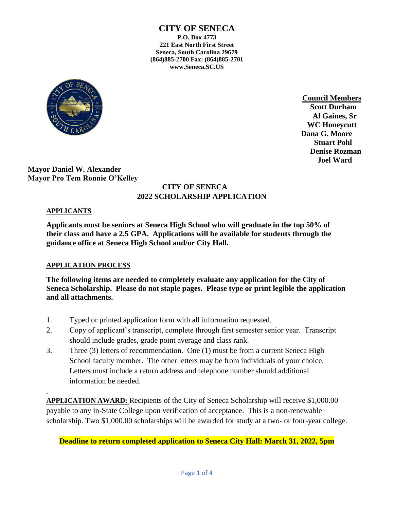

**Council Members Scott Durham Al Gaines, Sr WC Honeycutt Dana G. Moore Stuart Pohl Denise Rozman Joel Ward**

**Mayor Daniel W. Alexander Mayor Pro Tem Ronnie O'Kelley**

# **CITY OF SENECA 2022 SCHOLARSHIP APPLICATION**

## **APPLICANTS**

*.*

**Applicants must be seniors at Seneca High School who will graduate in the top 50% of their class and have a 2.5 GPA. Applications will be available for students through the guidance office at Seneca High School and/or City Hall.**

## **APPLICATION PROCESS**

**The following items are needed to completely evaluate any application for the City of Seneca Scholarship. Please do not staple pages. Please type or print legible the application and all attachments.**

- 1. Typed or printed application form with all information requested.
- 2. Copy of applicant's transcript, complete through first semester senior year. Transcript should include grades, grade point average and class rank.
- 3. Three (3) letters of recommendation. One (1) must be from a current Seneca High School faculty member. The other letters may be from individuals of your choice. Letters must include a return address and telephone number should additional information be needed.

**APPLICATION AWARD:** Recipients of the City of Seneca Scholarship will receive \$1,000.00 payable to any in-State College upon verification of acceptance. This is a non-renewable scholarship. Two \$1,000.00 scholarships will be awarded for study at a two- or four-year college.

## **Deadline to return completed application to Seneca City Hall: March 31, 2022, 5pm**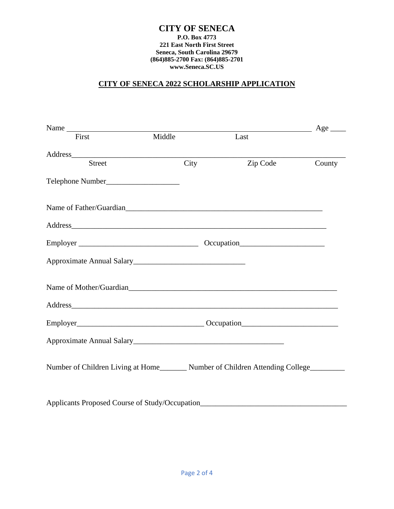## **CITY OF SENECA 2022 SCHOLARSHIP APPLICATION**

| Name                                                                                                                                                                                                                           |        |          | $Age \_$ |  |
|--------------------------------------------------------------------------------------------------------------------------------------------------------------------------------------------------------------------------------|--------|----------|----------|--|
| First                                                                                                                                                                                                                          | Middle | Last     |          |  |
|                                                                                                                                                                                                                                |        |          |          |  |
| <b>Street</b>                                                                                                                                                                                                                  | City   | Zip Code | County   |  |
|                                                                                                                                                                                                                                |        |          |          |  |
| Name of Father/Guardian and the contract of the contract of the contract of the contract of the contract of the contract of the contract of the contract of the contract of the contract of the contract of the contract of th |        |          |          |  |
| Address                                                                                                                                                                                                                        |        |          |          |  |
|                                                                                                                                                                                                                                |        |          |          |  |
|                                                                                                                                                                                                                                |        |          |          |  |
| Name of Mother/Guardian                                                                                                                                                                                                        |        |          |          |  |
| Address and the contract of the contract of the contract of the contract of the contract of the contract of the contract of the contract of the contract of the contract of the contract of the contract of the contract of th |        |          |          |  |
|                                                                                                                                                                                                                                |        |          |          |  |
|                                                                                                                                                                                                                                |        |          |          |  |
| Number of Children Living at Home_________ Number of Children Attending College________                                                                                                                                        |        |          |          |  |
| Applicants Proposed Course of Study/Occupation                                                                                                                                                                                 |        |          |          |  |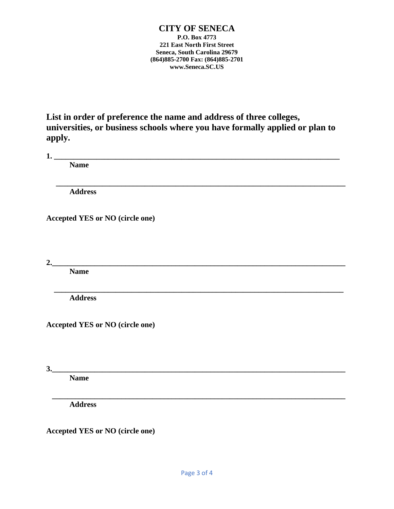**List in order of preference the name and address of three colleges, universities, or business schools where you have formally applied or plan to apply.**

 **\_\_\_\_\_\_\_\_\_\_\_\_\_\_\_\_\_\_\_\_\_\_\_\_\_\_\_\_\_\_\_\_\_\_\_\_\_\_\_\_\_\_\_\_\_\_\_\_\_\_\_\_\_\_\_\_\_\_\_\_\_\_\_\_\_\_\_\_\_\_\_\_\_\_\_**

 **\_\_\_\_\_\_\_\_\_\_\_\_\_\_\_\_\_\_\_\_\_\_\_\_\_\_\_\_\_\_\_\_\_\_\_\_\_\_\_\_\_\_\_\_\_\_\_\_\_\_\_\_\_\_\_\_\_\_\_\_\_\_\_\_\_\_\_\_\_\_\_\_\_\_\_**

**1. \_\_\_\_\_\_\_\_\_\_\_\_\_\_\_\_\_\_\_\_\_\_\_\_\_\_\_\_\_\_\_\_\_\_\_\_\_\_\_\_\_\_\_\_\_\_\_\_\_\_\_\_\_\_\_\_\_\_\_\_\_\_\_\_\_\_\_\_\_\_\_\_\_\_**

**Name**

**Address**

**Accepted YES or NO (circle one)**

**2.\_\_\_\_\_\_\_\_\_\_\_\_\_\_\_\_\_\_\_\_\_\_\_\_\_\_\_\_\_\_\_\_\_\_\_\_\_\_\_\_\_\_\_\_\_\_\_\_\_\_\_\_\_\_\_\_\_\_\_\_\_\_\_\_\_\_\_\_\_\_\_\_\_\_\_\_**

**Name**

**Address**

**Accepted YES or NO (circle one)**

**3.\_\_\_\_\_\_\_\_\_\_\_\_\_\_\_\_\_\_\_\_\_\_\_\_\_\_\_\_\_\_\_\_\_\_\_\_\_\_\_\_\_\_\_\_\_\_\_\_\_\_\_\_\_\_\_\_\_\_\_\_\_\_\_\_\_\_\_\_\_\_\_\_\_\_\_\_**

**Name** 

 **\_\_\_\_\_\_\_\_\_\_\_\_\_\_\_\_\_\_\_\_\_\_\_\_\_\_\_\_\_\_\_\_\_\_\_\_\_\_\_\_\_\_\_\_\_\_\_\_\_\_\_\_\_\_\_\_\_\_\_\_\_\_\_\_\_\_\_\_\_\_\_\_\_\_\_\_ Address**

**Accepted YES or NO (circle one)**